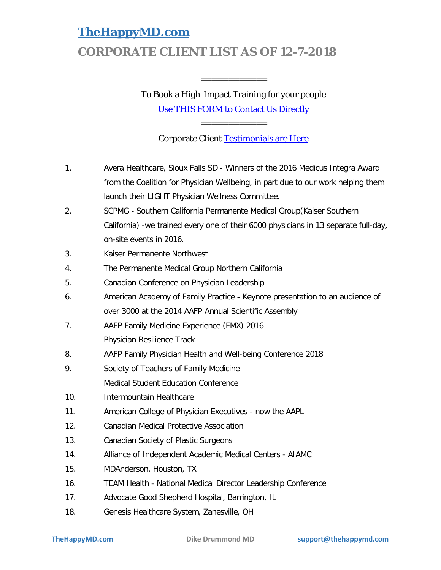# **CORPORATE CLIENT LIST AS OF 12-7-2018**

# To Book a High-Impact Training for your people

============

[Use THIS FORM to Contact Us Directly](https://support.thehappymd.com/dike-drummond-healthcare-speaker-contact-request)

============

Corporate Client [Testimonials are Here](https://www.thehappymd.com/healthcare-speaker-testimonials-dike-drummond)

- 1. Avera Healthcare, Sioux Falls SD Winners of the 2016 Medicus Integra Award from the Coalition for Physician Wellbeing, in part due to our work helping them launch their LIGHT Physician Wellness Committee.
- 2. SCPMG Southern California Permanente Medical Group(Kaiser Southern California) -we trained every one of their 6000 physicians in 13 separate full-day, on-site events in 2016.
- 3. Kaiser Permanente Northwest
- 4. The Permanente Medical Group Northern California
- 5. Canadian Conference on Physician Leadership
- 6. American Academy of Family Practice Keynote presentation to an audience of over 3000 at the 2014 AAFP Annual Scientific Assembly
- 7. AAFP Family Medicine Experience (FMX) 2016 Physician Resilience Track
- 8. AAFP Family Physician Health and Well-being Conference 2018
- 9. Society of Teachers of Family Medicine Medical Student Education Conference
- 10. Intermountain Healthcare
- 11. American College of Physician Executives now the AAPL
- 12. Canadian Medical Protective Association
- 13. Canadian Society of Plastic Surgeons
- 14. Alliance of Independent Academic Medical Centers AIAMC
- 15. MDAnderson, Houston, TX
- 16. TEAM Health National Medical Director Leadership Conference
- 17. Advocate Good Shepherd Hospital, Barrington, IL
- 18. Genesis Healthcare System, Zanesville, OH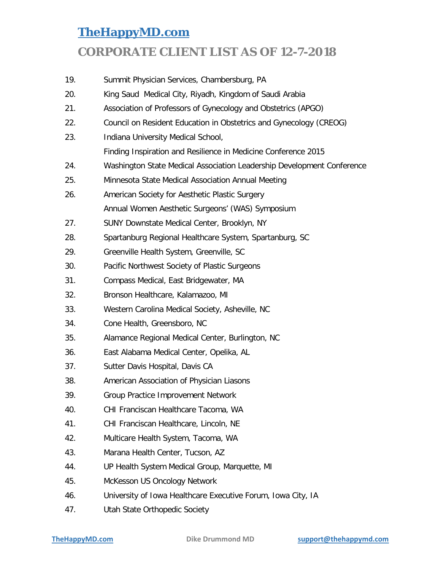#### **CORPORATE CLIENT LIST AS OF 12-7-2018**

19. Summit Physician Services, Chambersburg, PA 20. King Saud Medical City, Riyadh, Kingdom of Saudi Arabia 21. Association of Professors of Gynecology and Obstetrics (APGO) 22. Council on Resident Education in Obstetrics and Gynecology (CREOG) 23. Indiana University Medical School, Finding Inspiration and Resilience in Medicine Conference 2015 24. Washington State Medical Association Leadership Development Conference 25. Minnesota State Medical Association Annual Meeting 26. American Society for Aesthetic Plastic Surgery Annual Women Aesthetic Surgeons' (WAS) Symposium 27. SUNY Downstate Medical Center, Brooklyn, NY 28. Spartanburg Regional Healthcare System, Spartanburg, SC 29. Greenville Health System, Greenville, SC 30. Pacific Northwest Society of Plastic Surgeons 31. Compass Medical, East Bridgewater, MA 32. Bronson Healthcare, Kalamazoo, MI 33. Western Carolina Medical Society, Asheville, NC 34. Cone Health, Greensboro, NC 35. Alamance Regional Medical Center, Burlington, NC 36. East Alabama Medical Center, Opelika, AL 37. Sutter Davis Hospital, Davis CA 38. American Association of Physician Liasons 39. Group Practice Improvement Network 40. CHI Franciscan Healthcare Tacoma, WA 41. CHI Franciscan Healthcare, Lincoln, NE 42. Multicare Health System, Tacoma, WA 43. Marana Health Center, Tucson, AZ 44. UP Health System Medical Group, Marquette, MI 45. McKesson US Oncology Network 46. University of Iowa Healthcare Executive Forum, Iowa City, IA 47. Utah State Orthopedic Society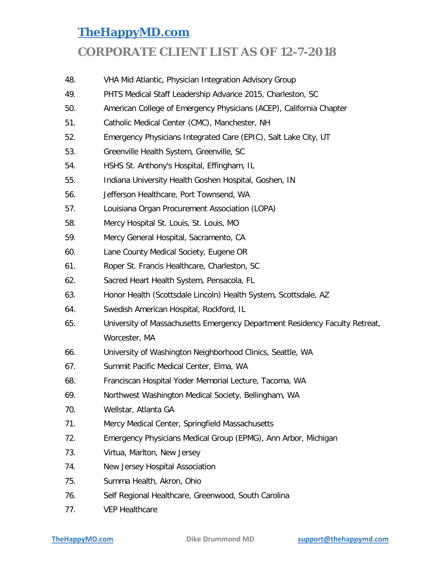- 48. VHA Mid Atlantic, Physician Integration Advisory Group
- 49. PHTS Medical Staff Leadership Advance 2015, Charleston, SC
- 50. American College of Emergency Physicians (ACEP), California Chapter
- 51. Catholic Medical Center (CMC), Manchester, NH
- 52. Emergency Physicians Integrated Care (EPIC), Salt Lake City, UT
- 53. Greenville Health System, Greenville, SC
- 54. HSHS St. Anthony's Hospital, Effingham, IL
- 55. Indiana University Health Goshen Hospital, Goshen, IN
- 56. Jefferson Healthcare, Port Townsend, WA
- 57. Louisiana Organ Procurement Association (LOPA)
- 58. Mercy Hospital St. Louis, St. Louis, MO
- 59. Mercy General Hospital, Sacramento, CA
- 60. Lane County Medical Society, Eugene OR
- 61. Roper St. Francis Healthcare, Charleston, SC
- 62. Sacred Heart Health System, Pensacola, FL
- 63. Honor Health (Scottsdale Lincoln) Health System, Scottsdale, AZ
- 64. Swedish American Hospital, Rockford, IL
- 65. University of Massachusetts Emergency Department Residency Faculty Retreat, Worcester, MA
- 66. University of Washington Neighborhood Clinics, Seattle, WA
- 67. Summit Pacific Medical Center, Elma, WA
- 68. Franciscan Hospital Yoder Memorial Lecture, Tacoma, WA
- 69. Northwest Washington Medical Society, Bellingham, WA
- 70. Wellstar, Atlanta GA
- 71. Mercy Medical Center, Springfield Massachusetts
- 72. Emergency Physicians Medical Group (EPMG), Ann Arbor, Michigan
- 73. Virtua, Marlton, New Jersey
- 74. New Jersey Hospital Association
- 75. Summa Health, Akron, Ohio
- 76. Self Regional Healthcare, Greenwood, South Carolina
- 77. VEP Healthcare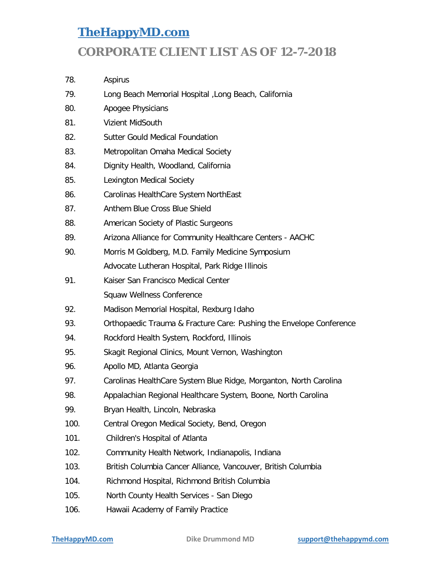- 78. Aspirus
- 79. Long Beach Memorial Hospital ,Long Beach, California
- 80. Apogee Physicians
- 81. Vizient MidSouth
- 82. Sutter Gould Medical Foundation
- 83. Metropolitan Omaha Medical Society
- 84. Dignity Health, Woodland, California
- 85. Lexington Medical Society
- 86. Carolinas HealthCare System NorthEast
- 87. Anthem Blue Cross Blue Shield
- 88. American Society of Plastic Surgeons
- 89. Arizona Alliance for Community Healthcare Centers AACHC
- 90. Morris M Goldberg, M.D. Family Medicine Symposium Advocate Lutheran Hospital, Park Ridge Illinois
- 91. Kaiser San Francisco Medical Center Squaw Wellness Conference
- 92. Madison Memorial Hospital, Rexburg Idaho
- 93. Orthopaedic Trauma & Fracture Care: Pushing the Envelope Conference
- 94. Rockford Health System, Rockford, Illinois
- 95. Skagit Regional Clinics, Mount Vernon, Washington
- 96. Apollo MD, Atlanta Georgia
- 97. Carolinas HealthCare System Blue Ridge, Morganton, North Carolina
- 98. Appalachian Regional Healthcare System, Boone, North Carolina
- 99. Bryan Health, Lincoln, Nebraska
- 100. Central Oregon Medical Society, Bend, Oregon
- 101. Children's Hospital of Atlanta
- 102. Community Health Network, Indianapolis, Indiana
- 103. British Columbia Cancer Alliance, Vancouver, British Columbia
- 104. Richmond Hospital, Richmond British Columbia
- 105. North County Health Services San Diego
- 106. Hawaii Academy of Family Practice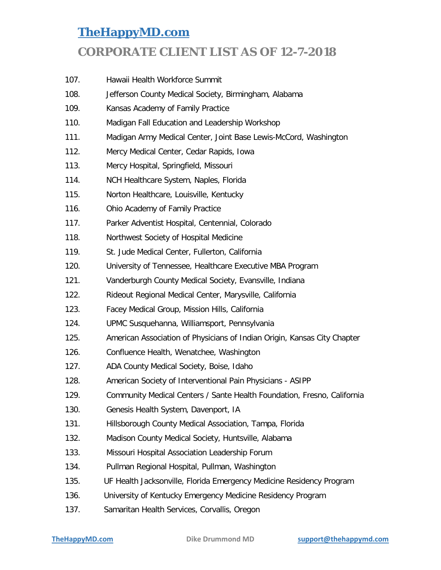- 107. Hawaii Health Workforce Summit
- 108. Jefferson County Medical Society, Birmingham, Alabama
- 109. Kansas Academy of Family Practice
- 110. Madigan Fall Education and Leadership Workshop
- 111. Madigan Army Medical Center, Joint Base Lewis-McCord, Washington
- 112. Mercy Medical Center, Cedar Rapids, Iowa
- 113. Mercy Hospital, Springfield, Missouri
- 114. NCH Healthcare System, Naples, Florida
- 115. Norton Healthcare, Louisville, Kentucky
- 116. Ohio Academy of Family Practice
- 117. Parker Adventist Hospital, Centennial, Colorado
- 118. Northwest Society of Hospital Medicine
- 119. St. Jude Medical Center, Fullerton, California
- 120. University of Tennessee, Healthcare Executive MBA Program
- 121. Vanderburgh County Medical Society, Evansville, Indiana
- 122. Rideout Regional Medical Center, Marysville, California
- 123. Facey Medical Group, Mission Hills, California
- 124. UPMC Susquehanna, Williamsport, Pennsylvania
- 125. American Association of Physicians of Indian Origin, Kansas City Chapter
- 126. Confluence Health, Wenatchee, Washington
- 127. ADA County Medical Society, Boise, Idaho
- 128. American Society of Interventional Pain Physicians ASIPP
- 129. Community Medical Centers / Sante Health Foundation, Fresno, California
- 130. Genesis Health System, Davenport, IA
- 131. Hillsborough County Medical Association, Tampa, Florida
- 132. Madison County Medical Society, Huntsville, Alabama
- 133. Missouri Hospital Association Leadership Forum
- 134. Pullman Regional Hospital, Pullman, Washington
- 135. UF Health Jacksonville, Florida Emergency Medicine Residency Program
- 136. University of Kentucky Emergency Medicine Residency Program
- 137. Samaritan Health Services, Corvallis, Oregon